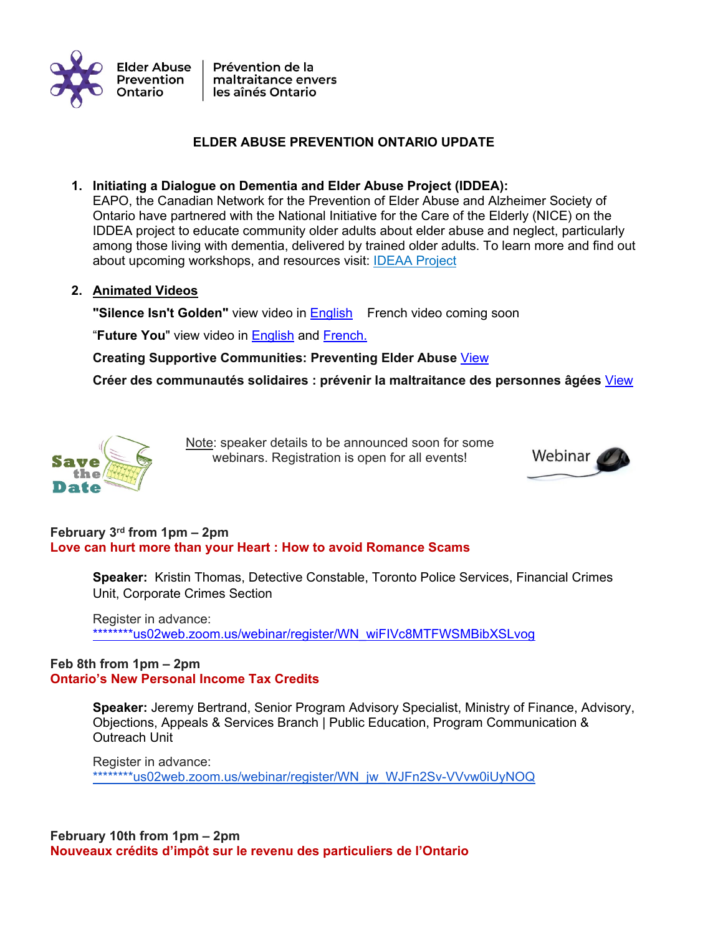

# **ELDER ABUSE PREVENTION ONTARIO UPDATE**

# **1. Initiating a Dialogue on Dementia and Elder Abuse Project (IDDEA):**

EAPO, the Canadian Network for the Prevention of Elder Abuse and Alzheimer Society of Ontario have partnered with the National Initiative for the Care of the Elderly (NICE) on the IDDEA project to educate community older adults about elder abuse and neglect, particularly among those living with dementia, delivered by trained older adults. To learn more and find out about upcoming workshops, and resources visit: IDEAA Project

**2. Animated Videos**

**"Silence Isn't Golden"** view video in English French video coming soon

"**Future You**" view video in English and French.

**Creating Supportive Communities: Preventing Elder Abuse** View

**Créer des communautés solidaires : prévenir la maltraitance des personnes âgées** View



Note: speaker details to be announced soon for some webinars. Registration is open for all events!



# **February 3 rd from 1pm – 2pm Love can hurt more than your Heart : How to avoid Romance Scams**

**Speaker:** Kristin Thomas, Detective Constable, Toronto Police Services, Financial Crimes Unit, Corporate Crimes Section

Register in advance: \*\*\*\*\*\*\*\*us02web.zoom.us/webinar/register/WN\_wiFIVc8MTFWSMBibXSLvog

### **Feb 8th from 1pm – 2pm Ontario's New Personal Income Tax Credits**

**Speaker:** Jeremy Bertrand, Senior Program Advisory Specialist, Ministry of Finance, Advisory, Objections, Appeals & Services Branch | Public Education, Program Communication & Outreach Unit

Register in advance: \*\*\*\*\*\*\*\*us02web.zoom.us/webinar/register/WN\_jw\_WJFn2Sv-VVvw0iUyNOQ

**February 10th from 1pm – 2pm Nouveaux crédits d'impôt sur le revenu des particuliers de l'Ontario**